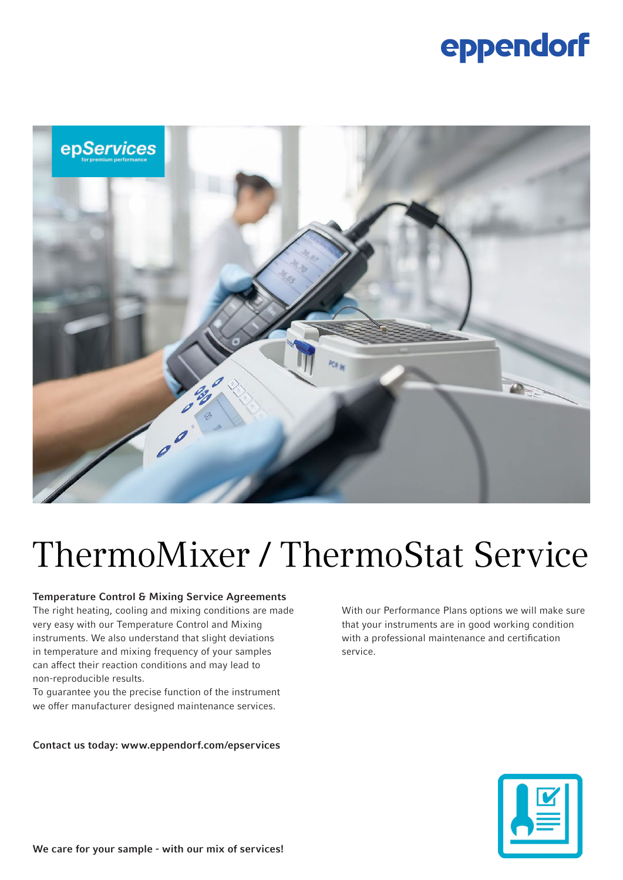## eppendorf



# ThermoMixer / ThermoStat Service

#### Temperature Control & Mixing Service Agreements

The right heating, cooling and mixing conditions are made very easy with our Temperature Control and Mixing instruments. We also understand that slight deviations in temperature and mixing frequency of your samples can affect their reaction conditions and may lead to non-reproducible results.

To guarantee you the precise function of the instrument we offer manufacturer designed maintenance services.

#### Contact us today: www.eppendorf.com/epservices

With our Performance Plans options we will make sure that your instruments are in good working condition with a professional maintenance and certification service.

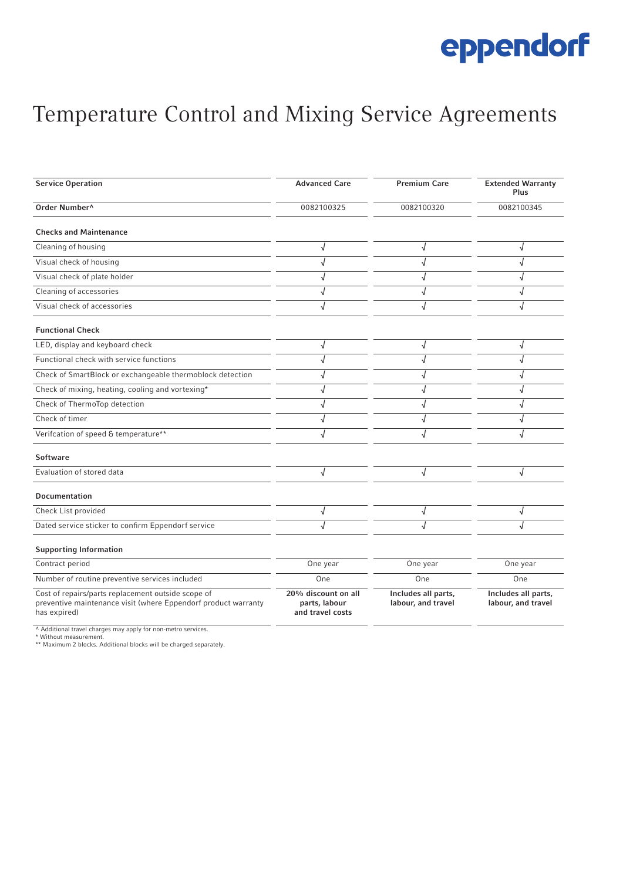## eppendorf

### Temperature Control and Mixing Service Agreements

| <b>Service Operation</b>                                                                                                             | <b>Advanced Care</b>                                     | <b>Premium Care</b>                       | <b>Extended Warranty</b><br>Plus          |
|--------------------------------------------------------------------------------------------------------------------------------------|----------------------------------------------------------|-------------------------------------------|-------------------------------------------|
| Order Number <sup>^</sup>                                                                                                            | 0082100325                                               | 0082100320                                | 0082100345                                |
| <b>Checks and Maintenance</b>                                                                                                        |                                                          |                                           |                                           |
| Cleaning of housing                                                                                                                  | J                                                        | J                                         |                                           |
| Visual check of housing                                                                                                              |                                                          |                                           |                                           |
| Visual check of plate holder                                                                                                         |                                                          | J                                         |                                           |
| Cleaning of accessories                                                                                                              |                                                          |                                           |                                           |
| Visual check of accessories                                                                                                          |                                                          | J                                         |                                           |
| <b>Functional Check</b>                                                                                                              |                                                          |                                           |                                           |
| LED, display and keyboard check                                                                                                      | $\sqrt{ }$                                               | J                                         | J                                         |
| Functional check with service functions                                                                                              |                                                          |                                           |                                           |
| Check of SmartBlock or exchangeable thermoblock detection                                                                            | J                                                        | J                                         |                                           |
| Check of mixing, heating, cooling and vortexing*                                                                                     |                                                          |                                           |                                           |
| Check of ThermoTop detection                                                                                                         |                                                          |                                           |                                           |
| Check of timer                                                                                                                       | $\sqrt{ }$                                               |                                           |                                           |
| Verifcation of speed & temperature**                                                                                                 |                                                          |                                           |                                           |
| <b>Software</b>                                                                                                                      |                                                          |                                           |                                           |
| Evaluation of stored data                                                                                                            | $\sqrt{2}$                                               | J                                         | J                                         |
| <b>Documentation</b>                                                                                                                 |                                                          |                                           |                                           |
| Check List provided                                                                                                                  | √                                                        | √                                         |                                           |
| Dated service sticker to confirm Eppendorf service                                                                                   |                                                          |                                           |                                           |
| <b>Supporting Information</b>                                                                                                        |                                                          |                                           |                                           |
| Contract period                                                                                                                      | One year                                                 | One year                                  | One year                                  |
| Number of routine preventive services included                                                                                       | One                                                      | One                                       | One                                       |
| Cost of repairs/parts replacement outside scope of<br>preventive maintenance visit (where Eppendorf product warranty<br>has expired) | 20% discount on all<br>parts, labour<br>and travel costs | Includes all parts,<br>labour, and travel | Includes all parts,<br>labour, and travel |

^ Additional travel charges may apply for non-metro services. \* Without measurement. \*\* Maximum 2 blocks. Additional blocks will be charged separately.